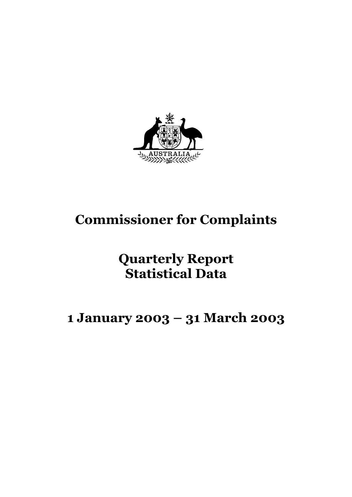

# **Commissioner for Complaints**

# **Quarterly Report Statistical Data**

# **1 January 2003 – 31 March 2003**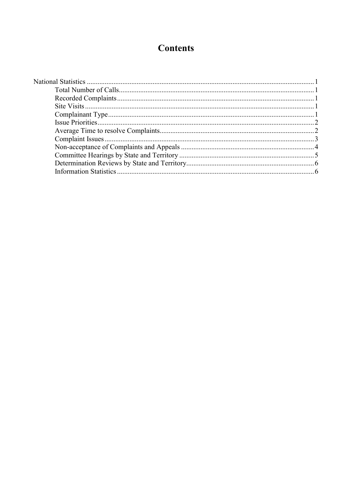# **Contents**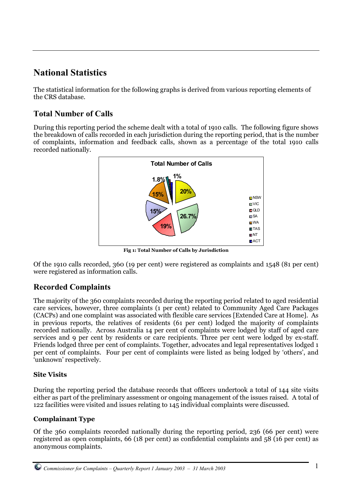# **National Statistics**

The statistical information for the following graphs is derived from various reporting elements of the CRS database.

## **Total Number of Calls**

During this reporting period the scheme dealt with a total of 1910 calls. The following figure shows the breakdown of calls recorded in each jurisdiction during the reporting period, that is the number of complaints, information and feedback calls, shown as a percentage of the total 1910 calls recorded nationally.



**Fig 1: Total Number of Calls by Jurisdiction**

Of the 1910 calls recorded, 360 (19 per cent) were registered as complaints and 1548 (81 per cent) were registered as information calls.

## **Recorded Complaints**

The majority of the 360 complaints recorded during the reporting period related to aged residential care services, however, three complaints (1 per cent) related to Community Aged Care Packages (CACPs) and one complaint was associated with flexible care services [Extended Care at Home]. As in previous reports, the relatives of residents (61 per cent) lodged the majority of complaints recorded nationally. Across Australia 14 per cent of complaints were lodged by staff of aged care services and 9 per cent by residents or care recipients. Three per cent were lodged by ex-staff. Friends lodged three per cent of complaints. Together, advocates and legal representatives lodged 1 per cent of complaints. Four per cent of complaints were listed as being lodged by 'others', and 'unknown' respectively.

#### **Site Visits**

During the reporting period the database records that officers undertook a total of 144 site visits either as part of the preliminary assessment or ongoing management of the issues raised.A total of 122 facilities were visited and issues relating to 145 individual complaints were discussed.

#### **Complainant Type**

Of the 360 complaints recorded nationally during the reporting period, 236 (66 per cent) were registered as open complaints, 66 (18 per cent) as confidential complaints and 58 (16 per cent) as anonymous complaints.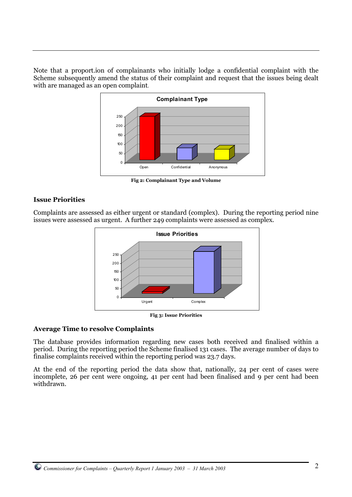Note that a proport.ion of complainants who initially lodge a confidential complaint with the Scheme subsequently amend the status of their complaint and request that the issues being dealt with are managed as an open complaint.



**Fig 2: Complainant Type and Volume**

#### **Issue Priorities**

Complaints are assessed as either urgent or standard (complex). During the reporting period nine issues were assessed as urgent. A further 249 complaints were assessed as complex.



**Fig 3: Issue Priorities**

#### **Average Time to resolve Complaints**

The database provides information regarding new cases both received and finalised within a period. During the reporting period the Scheme finalised 131 cases. The average number of days to finalise complaints received within the reporting period was 23.7 days.

At the end of the reporting period the data show that, nationally, 24 per cent of cases were incomplete, 26 per cent were ongoing, 41 per cent had been finalised and 9 per cent had been withdrawn.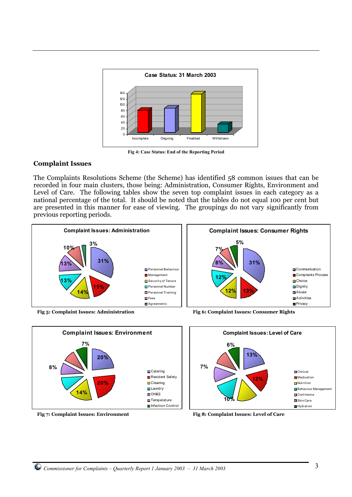

**Fig 4: Case Status: End of the Reporting Period**

#### **Complaint Issues**

The Complaints Resolutions Scheme (the Scheme) has identified 58 common issues that can be recorded in four main clusters, those being: Administration, Consumer Rights, Environment and Level of Care. The following tables show the seven top complaint issues in each category as a national percentage of the total. It should be noted that the tables do not equal 100 per cent but are presented in this manner for ease of viewing. The groupings do not vary significantly from previous reporting periods.





**Complaint Issues: Level of Care Clinical Medication Nutrition Behaviour Management Continence** Skin Care **Hydration 13% 12% 10% 7% 6%**

**Fig 7: Complaint Issues: Environment Fig 8: Complaint Issues: Level of Care**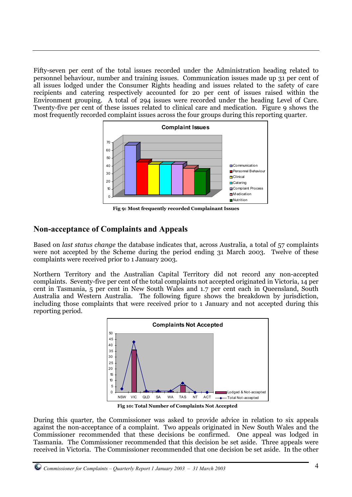Fifty-seven per cent of the total issues recorded under the Administration heading related to personnel behaviour, number and training issues. Communication issues made up 31 per cent of all issues lodged under the Consumer Rights heading and issues related to the safety of care recipients and catering respectively accounted for 20 per cent of issues raised within the Environment grouping. A total of 294 issues were recorded under the heading Level of Care. Twenty-five per cent of these issues related to clinical care and medication. Figure 9 shows the most frequently recorded complaint issues across the four groups during this reporting quarter.



**Fig 9: Most frequently recorded Complainant Issues**

### **Non-acceptance of Complaints and Appeals**

Based on *last status change* the database indicates that, across Australia, a total of 57 complaints were not accepted by the Scheme during the period ending 31 March 2003. Twelve of these complaints were received prior to 1 January 2003.

Northern Territory and the Australian Capital Territory did not record any non-accepted complaints. Seventy-five per cent of the total complaints not accepted originated in Victoria, 14 per cent in Tasmania, 5 per cent in New South Wales and 1.7 per cent each in Queensland, South Australia and Western Australia. The following figure shows the breakdown by jurisdiction, including those complaints that were received prior to 1 January and not accepted during this reporting period.



**Fig 10: Total Number of Complaints Not Accepted**

During this quarter, the Commissioner was asked to provide advice in relation to six appeals against the non-acceptance of a complaint. Two appeals originated in New South Wales and the Commissioner recommended that these decisions be confirmed. One appeal was lodged in Tasmania. The Commissioner recommended that this decision be set aside. Three appeals were received in Victoria. The Commissioner recommended that one decision be set aside. In the other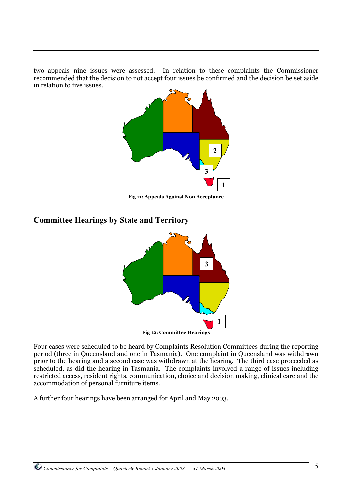two appeals nine issues were assessed. In relation to these complaints the Commissioner recommended that the decision to not accept four issues be confirmed and the decision be set aside in relation to five issues.



**Fig 11: Appeals Against Non Acceptance**

### **Committee Hearings by State and Territory**



Four cases were scheduled to be heard by Complaints Resolution Committees during the reporting period (three in Queensland and one in Tasmania). One complaint in Queensland was withdrawn prior to the hearing and a second case was withdrawn at the hearing. The third case proceeded as scheduled, as did the hearing in Tasmania. The complaints involved a range of issues including restricted access, resident rights, communication, choice and decision making, clinical care and the accommodation of personal furniture items.

A further four hearings have been arranged for April and May 2003.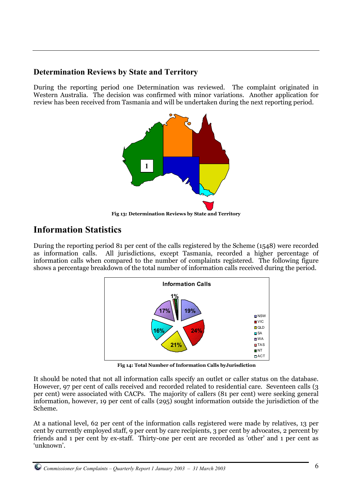### **Determination Reviews by State and Territory**

During the reporting period one Determination was reviewed. The complaint originated in Western Australia. The decision was confirmed with minor variations. Another application for review has been received from Tasmania and will be undertaken during the next reporting period.



**Fig 13: Determination Reviews by State and Territory**

## **Information Statistics**

During the reporting period 81 per cent of the calls registered by the Scheme (1548) were recorded as information calls. All jurisdictions, except Tasmania, recorded a higher percentage of information calls when compared to the number of complaints registered. The following figure shows a percentage breakdown of the total number of information calls received during the period.



**Fig 14: Total Number of Information Calls byJurisdiction**

It should be noted that not all information calls specify an outlet or caller status on the database. However, 97 per cent of calls received and recorded related to residential care. Seventeen calls (3 per cent) were associated with CACPs. The majority of callers (81 per cent) were seeking general information, however, 19 per cent of calls (295) sought information outside the jurisdiction of the Scheme.

At a national level, 62 per cent of the information calls registered were made by relatives, 13 per cent by currently employed staff, 9 per cent by care recipients, 3 per cent by advocates, 2 percent by friends and 1 per cent by ex-staff. Thirty-one per cent are recorded as 'other' and 1 per cent as 'unknown'.